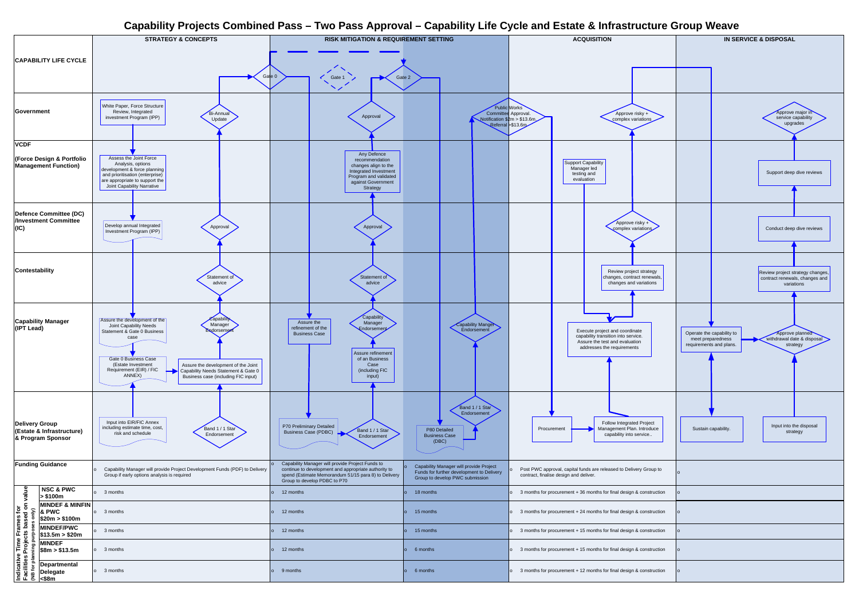## **Capability Projects Combined Pass – Two Pass Approval – Capability Life Cycle and Estate & Infrastructure Group Weave**



|                                                                                                     |                                                       | ___                                                                                                                                                                                                                                                                                                                                       | .                                                                                                                                                                                                |                                                                                                                         |                                                                                                                                       |                                                                                                                                      |  |
|-----------------------------------------------------------------------------------------------------|-------------------------------------------------------|-------------------------------------------------------------------------------------------------------------------------------------------------------------------------------------------------------------------------------------------------------------------------------------------------------------------------------------------|--------------------------------------------------------------------------------------------------------------------------------------------------------------------------------------------------|-------------------------------------------------------------------------------------------------------------------------|---------------------------------------------------------------------------------------------------------------------------------------|--------------------------------------------------------------------------------------------------------------------------------------|--|
| <b>CAPABILITY LIFE CYCLE</b><br>Government                                                          |                                                       | <b>STRATEGY &amp; CONCEPTS</b>                                                                                                                                                                                                                                                                                                            | <b>RISK MITIGATION &amp; REQUIREMENT SETTING</b><br>Gate 0<br>Gate 1                                                                                                                             | Gate 2                                                                                                                  | <b>ACQUISITION</b>                                                                                                                    | <b>IN SERVICE &amp; DISPOSAL</b>                                                                                                     |  |
|                                                                                                     |                                                       | White Paper, Force Structure<br>Review, Integrated<br>Bi-Annual<br>investment Program (IPP)<br>Update                                                                                                                                                                                                                                     | Approval                                                                                                                                                                                         | Committee                                                                                                               | Public Works<br>Approval.<br>Approve risky +<br>Notification $$2m > $13.6m$<br>complex variations<br>Referral \$13.6m                 | Approve major i<br>service capability<br>upgrades                                                                                    |  |
| <b>VCDF</b>                                                                                         |                                                       |                                                                                                                                                                                                                                                                                                                                           |                                                                                                                                                                                                  |                                                                                                                         |                                                                                                                                       |                                                                                                                                      |  |
| <b>(Force Design &amp; Portfolio</b><br><b>Management Function)</b>                                 |                                                       | Assess the Joint Force<br>Analysis, options<br>development & force planning<br>and prioritisation (enterprise)<br>are appropriate to support the<br>Joint Capability Narrative                                                                                                                                                            | Any Defence<br>recommendation<br>changes align to the<br>Integrated Investment<br>Program and validated<br>against Government<br>Strategy                                                        |                                                                                                                         | <b>Support Capability</b><br>Manager led<br>testing and<br>evaluation                                                                 | Support deep dive reviev                                                                                                             |  |
| Defence Committee (DC)<br>/Investment Committee<br>(IC)                                             |                                                       | Develop annual Integrated<br>Approval<br>Investment Program (IPP)                                                                                                                                                                                                                                                                         | Approval                                                                                                                                                                                         |                                                                                                                         | Approve risky +<br>complex variations                                                                                                 | Conduct deep dive reviev                                                                                                             |  |
| Contestability                                                                                      |                                                       | Statement of<br>advice                                                                                                                                                                                                                                                                                                                    | Statement of<br>advice                                                                                                                                                                           |                                                                                                                         | Review project strategy<br>changes, contract renewals,<br>changes and variations                                                      | Review project strategy char<br>contract renewals, changes<br>variations                                                             |  |
| <b>Capability Manager</b><br>(IPT Lead)                                                             |                                                       | Capabili<br>Assure the development of the<br>Manager<br>Joint Capability Needs<br>Endorsem<br>Statement & Gate 0 Business<br>case<br>Gate 0 Business Case<br>(Estate Investment<br>Assure the development of the Joint<br>Requirement (EIR) / FIC<br>Capability Needs Statement & Gate 0<br>ANNEX)<br>Business case (including FIC input) | Capability<br>Assure the<br>Manager<br>refinement of the<br>Endorsemen<br><b>Business Case</b><br>Assure refinement<br>of an Business<br>Case<br>(including FIC<br>input)                        | Capability Manger<br>Endorsement                                                                                        | Execute project and coordinate<br>capability transition into service.<br>Assure the test and evaluation<br>addresses the requirements | Operate the capability to<br>Approve planned<br>withdrawal date & dispos<br>meet preparedness<br>requirements and plans.<br>strategy |  |
| Delivery Group<br>(Estate & Infrastructure)<br>& Program Sponsor                                    |                                                       | Input into EIR/FIC Annex<br>including estimate time, cost,<br>Band 1 / 1 Star<br>risk and schedule<br>Endorsement                                                                                                                                                                                                                         | P70 Preliminary Detailed<br>Band 1 / 1 Star<br><b>Business Case (PDBC)</b><br>Endorsement                                                                                                        | Band 1 / 1 Star<br>Endorsement<br>P80 Detailed<br><b>Business Case</b><br>(DBC)                                         | <b>Follow Integrated Project</b><br>Management Plan. Introduce<br>Procurement<br>capability into service                              | Input into the disposal<br>Sustain capability.<br>strategy                                                                           |  |
| <b>Funding Guidance</b>                                                                             |                                                       | Capability Manager will provide Project Development Funds (PDF) to Delivery<br>Group if early options analysis is required                                                                                                                                                                                                                | Capability Manager will provide Project Funds to<br>continue to development and appropriate authority to<br>spend (Estimate Memorandum 51/15 para 8) to Delivery<br>Group to develop PDBC to P70 | Capability Manager will provide Project<br>Funds for further development to Delivery<br>Group to develop PWC submission | Post PWC approval, capital funds are released to Delivery Group to<br>contract, finalise design and deliver.                          |                                                                                                                                      |  |
|                                                                                                     | <b>NSC &amp; PWC</b><br>$\vert$ > \$100m              | 3 months                                                                                                                                                                                                                                                                                                                                  | 12 months                                                                                                                                                                                        | 18 months                                                                                                               | 3 months for procurement $+36$ months for final design & construction                                                                 |                                                                                                                                      |  |
|                                                                                                     | <b>MINDEF &amp; MINFIN</b><br>& PWC<br>\$20m > \$100m | 3 months                                                                                                                                                                                                                                                                                                                                  | 12 months                                                                                                                                                                                        | 15 months                                                                                                               | 3 months for procurement + 24 months for final design & construction                                                                  |                                                                                                                                      |  |
|                                                                                                     | <b>MINDEF/PWC</b>                                     | 3 months                                                                                                                                                                                                                                                                                                                                  | 12 months                                                                                                                                                                                        | 15 months                                                                                                               | 3 months for procurement + 15 months for final design & construction                                                                  |                                                                                                                                      |  |
|                                                                                                     | \$13.5m > \$20m<br><b>MINDEF</b><br>\$8m > \$13.5m    | 3 months                                                                                                                                                                                                                                                                                                                                  | 12 months                                                                                                                                                                                        | 6 months                                                                                                                | o 3 months for procurement + 15 months for final design & construction                                                                |                                                                                                                                      |  |
| Indicative Time Frames for<br>Facilities Projects based on value<br>(NB for planning purnees ending | Departmental<br>Delegate<br>$ \leq$ \$8m              | 3 months                                                                                                                                                                                                                                                                                                                                  | 9 months                                                                                                                                                                                         | 6 months                                                                                                                | o 3 months for procurement + 12 months for final design & construction                                                                |                                                                                                                                      |  |